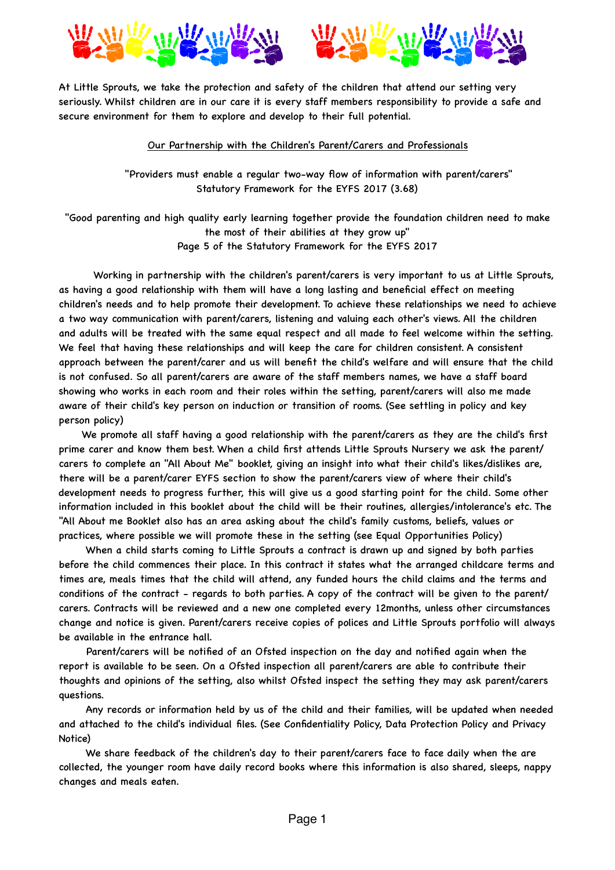



At Little Sprouts, we take the protection and safety of the children that attend our setting very seriously. Whilst children are in our care it is every staff members responsibility to provide a safe and secure environment for them to explore and develop to their full potential.

## Our Partnership with the Children's Parent/Carers and Professionals

 "Providers must enable a regular two-way flow of information with parent/carers" Statutory Framework for the EYFS 2017 (3.68)

"Good parenting and high quality early learning together provide the foundation children need to make the most of their abilities at they grow up"

Page 5 of the Statutory Framework for the EYFS 2017

 Working in partnership with the children's parent/carers is very important to us at Little Sprouts, as having a good relationship with them will have a long lasting and beneficial effect on meeting children's needs and to help promote their development. To achieve these relationships we need to achieve a two way communication with parent/carers, listening and valuing each other's views. All the children and adults will be treated with the same equal respect and all made to feel welcome within the setting. We feel that having these relationships and will keep the care for children consistent. A consistent approach between the parent/carer and us will benefit the child's welfare and will ensure that the child is not confused. So all parent/carers are aware of the staff members names, we have a staff board showing who works in each room and their roles within the setting, parent/carers will also me made aware of their child's key person on induction or transition of rooms. (See settling in policy and key person policy)

 We promote all staff having a good relationship with the parent/carers as they are the child's first prime carer and know them best. When a child first attends Little Sprouts Nursery we ask the parent/ carers to complete an "All About Me" booklet, giving an insight into what their child's likes/dislikes are, there will be a parent/carer EYFS section to show the parent/carers view of where their child's development needs to progress further, this will give us a good starting point for the child. Some other information included in this booklet about the child will be their routines, allergies/intolerance's etc. The "All About me Booklet also has an area asking about the child's family customs, beliefs, values or practices, where possible we will promote these in the setting (see Equal Opportunities Policy)

 When a child starts coming to Little Sprouts a contract is drawn up and signed by both parties before the child commences their place. In this contract it states what the arranged childcare terms and times are, meals times that the child will attend, any funded hours the child claims and the terms and conditions of the contract - regards to both parties. A copy of the contract will be given to the parent/ carers. Contracts will be reviewed and a new one completed every 12months, unless other circumstances change and notice is given. Parent/carers receive copies of polices and Little Sprouts portfolio will always be available in the entrance hall.

 Parent/carers will be notified of an Ofsted inspection on the day and notified again when the report is available to be seen. On a Ofsted inspection all parent/carers are able to contribute their thoughts and opinions of the setting, also whilst Ofsted inspect the setting they may ask parent/carers questions.

 Any records or information held by us of the child and their families, will be updated when needed and attached to the child's individual files. (See Confidentiality Policy, Data Protection Policy and Privacy Notice)

 We share feedback of the children's day to their parent/carers face to face daily when the are collected, the younger room have daily record books where this information is also shared, sleeps, nappy changes and meals eaten.